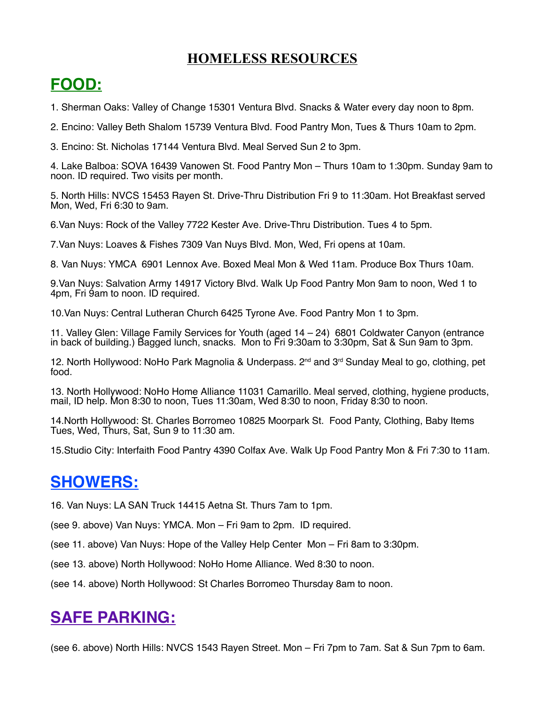#### **HOMELESS RESOURCES**

## **FOOD:**

1. Sherman Oaks: Valley of Change 15301 Ventura Blvd. Snacks & Water every day noon to 8pm.

2. Encino: Valley Beth Shalom 15739 Ventura Blvd. Food Pantry Mon, Tues & Thurs 10am to 2pm.

3. Encino: St. Nicholas 17144 Ventura Blvd. Meal Served Sun 2 to 3pm.

4. Lake Balboa: SOVA 16439 Vanowen St. Food Pantry Mon – Thurs 10am to 1:30pm. Sunday 9am to noon. ID required. Two visits per month.

5. North Hills: NVCS 15453 Rayen St. Drive-Thru Distribution Fri 9 to 11:30am. Hot Breakfast served Mon, Wed, Fri 6:30 to 9am.

6.Van Nuys: Rock of the Valley 7722 Kester Ave. Drive-Thru Distribution. Tues 4 to 5pm.

7.Van Nuys: Loaves & Fishes 7309 Van Nuys Blvd. Mon, Wed, Fri opens at 10am.

8. Van Nuys: YMCA 6901 Lennox Ave. Boxed Meal Mon & Wed 11am. Produce Box Thurs 10am.

9.Van Nuys: Salvation Army 14917 Victory Blvd. Walk Up Food Pantry Mon 9am to noon, Wed 1 to 4pm, Fri 9am to noon. ID required.

10.Van Nuys: Central Lutheran Church 6425 Tyrone Ave. Food Pantry Mon 1 to 3pm.

11. Valley Glen: Village Family Services for Youth (aged 14 – 24) 6801 Coldwater Canyon (entrance in back of building.) Bagged lunch, snacks. Mon to Fri 9:30am to 3:30pm, Sat & Sun 9am to 3pm.

12. North Hollywood: NoHo Park Magnolia & Underpass. 2<sup>nd</sup> and 3<sup>rd</sup> Sunday Meal to go, clothing, pet food.

13. North Hollywood: NoHo Home Alliance 11031 Camarillo. Meal served, clothing, hygiene products, mail, ID help. Mon 8:30 to noon, Tues 11:30am, Wed 8:30 to noon, Friday 8:30 to noon.

14.North Hollywood: St. Charles Borromeo 10825 Moorpark St. Food Panty, Clothing, Baby Items Tues, Wed, Thurs, Sat, Sun 9 to 11:30 am.

15.Studio City: Interfaith Food Pantry 4390 Colfax Ave. Walk Up Food Pantry Mon & Fri 7:30 to 11am.

### **SHOWERS:**

16. Van Nuys: LA SAN Truck 14415 Aetna St. Thurs 7am to 1pm.

(see 9. above) Van Nuys: YMCA. Mon – Fri 9am to 2pm. ID required.

(see 11. above) Van Nuys: Hope of the Valley Help Center Mon – Fri 8am to 3:30pm.

(see 13. above) North Hollywood: NoHo Home Alliance. Wed 8:30 to noon.

(see 14. above) North Hollywood: St Charles Borromeo Thursday 8am to noon.

# **SAFE PARKING:**

(see 6. above) North Hills: NVCS 1543 Rayen Street. Mon – Fri 7pm to 7am. Sat & Sun 7pm to 6am.